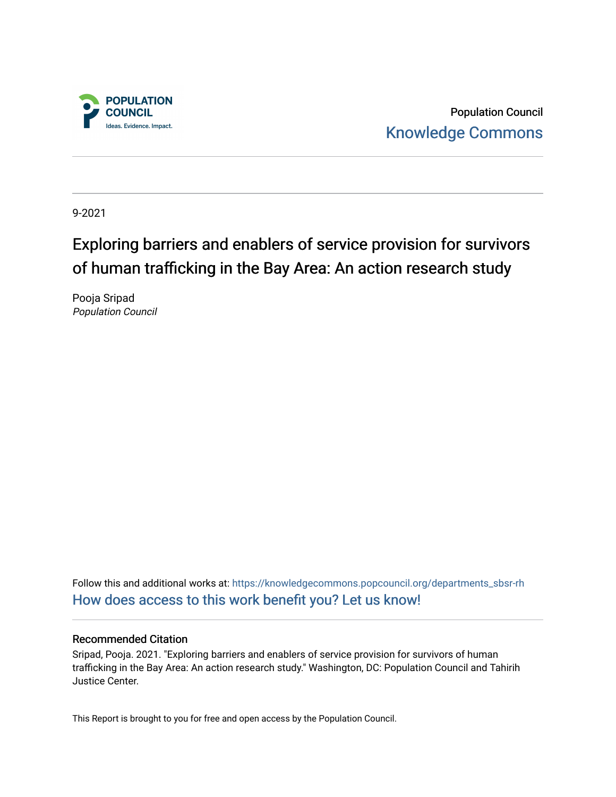

Population Council [Knowledge Commons](https://knowledgecommons.popcouncil.org/) 

9-2021

# Exploring barriers and enablers of service provision for survivors of human trafficking in the Bay Area: An action research study

Pooja Sripad Population Council

Follow this and additional works at: [https://knowledgecommons.popcouncil.org/departments\\_sbsr-rh](https://knowledgecommons.popcouncil.org/departments_sbsr-rh?utm_source=knowledgecommons.popcouncil.org%2Fdepartments_sbsr-rh%2F2137&utm_medium=PDF&utm_campaign=PDFCoverPages)  [How does access to this work benefit you? Let us know!](https://pcouncil.wufoo.com/forms/open-access-to-population-council-research/)

#### Recommended Citation

Sripad, Pooja. 2021. "Exploring barriers and enablers of service provision for survivors of human trafficking in the Bay Area: An action research study." Washington, DC: Population Council and Tahirih Justice Center.

This Report is brought to you for free and open access by the Population Council.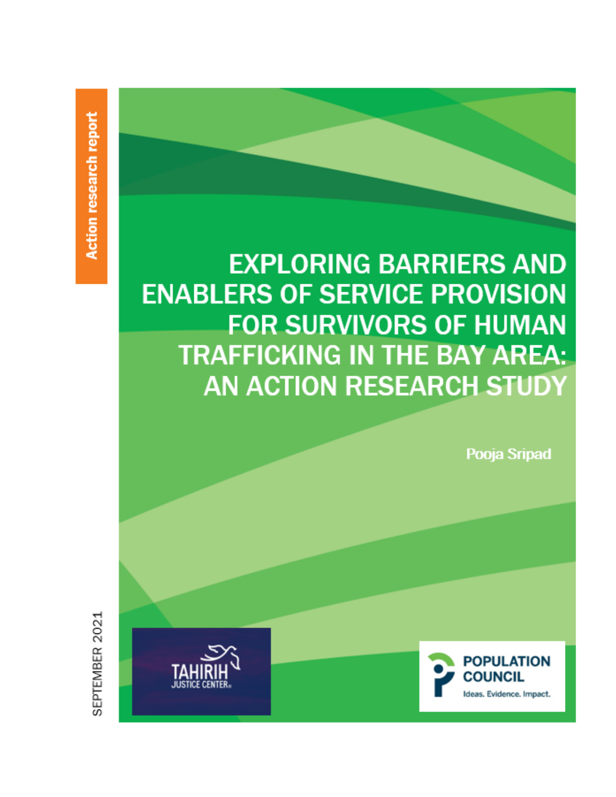**EXPLORING BARRIERS AND ENABLERS OF SERVICE PROVISION FOR SURVIVORS OF HUMAN TRAFFICKING IN THE BAY AREA: AN ACTION RESEARCH STUDY** 

Pooja Sripad

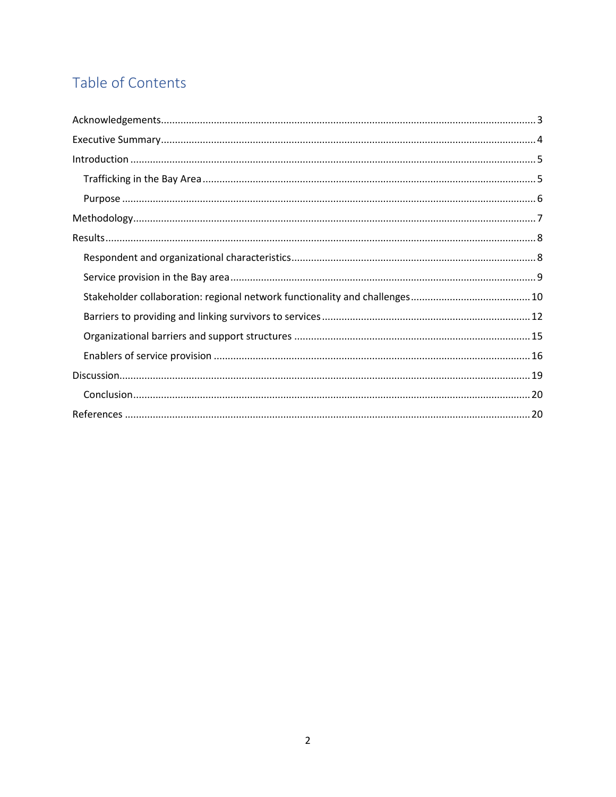# Table of Contents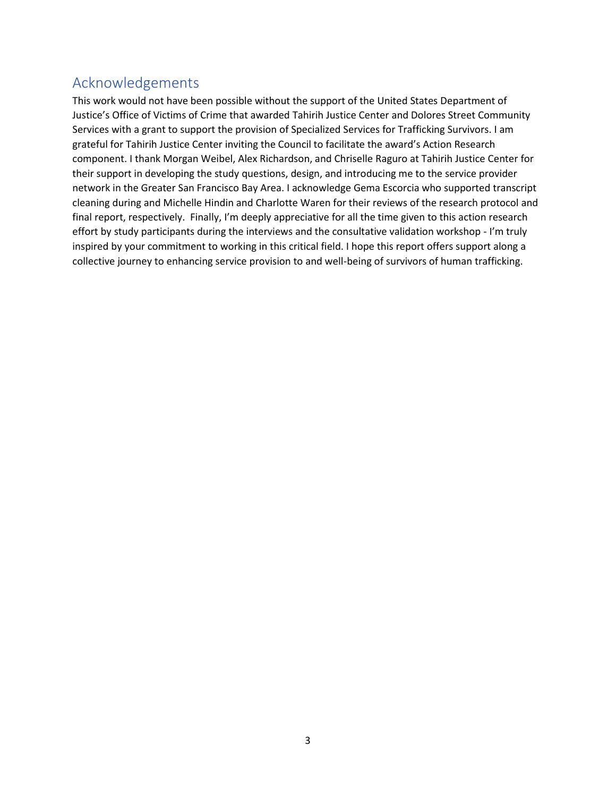# Acknowledgements

This work would not have been possible without the support of the United States Department of Justice's Office of Victims of Crime that awarded Tahirih Justice Center and Dolores Street Community Services with a grant to support the provision of Specialized Services for Trafficking Survivors. I am grateful for Tahirih Justice Center inviting the Council to facilitate the award's Action Research component. I thank Morgan Weibel, Alex Richardson, and Chriselle Raguro at Tahirih Justice Center for their support in developing the study questions, design, and introducing me to the service provider network in the Greater San Francisco Bay Area. I acknowledge Gema Escorcia who supported transcript cleaning during and Michelle Hindin and Charlotte Waren for their reviews of the research protocol and final report, respectively. Finally, I'm deeply appreciative for all the time given to this action research effort by study participants during the interviews and the consultative validation workshop - I'm truly inspired by your commitment to working in this critical field. I hope this report offers support along a collective journey to enhancing service provision to and well-being of survivors of human trafficking.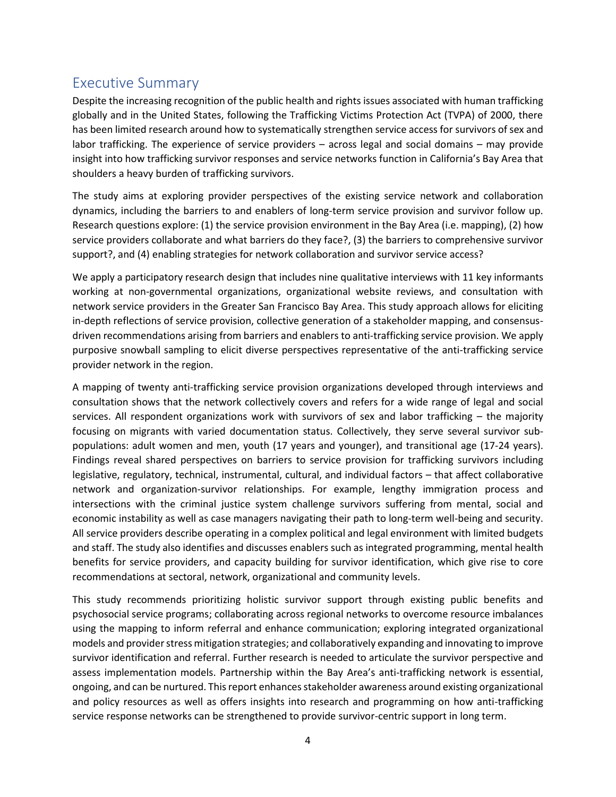# Executive Summary

Despite the increasing recognition of the public health and rights issues associated with human trafficking globally and in the United States, following the Trafficking Victims Protection Act (TVPA) of 2000, there has been limited research around how to systematically strengthen service access for survivors of sex and labor trafficking. The experience of service providers – across legal and social domains – may provide insight into how trafficking survivor responses and service networks function in California's Bay Area that shoulders a heavy burden of trafficking survivors.

The study aims at exploring provider perspectives of the existing service network and collaboration dynamics, including the barriers to and enablers of long-term service provision and survivor follow up. Research questions explore: (1) the service provision environment in the Bay Area (i.e. mapping), (2) how service providers collaborate and what barriers do they face?, (3) the barriers to comprehensive survivor support?, and (4) enabling strategies for network collaboration and survivor service access?

We apply a participatory research design that includes nine qualitative interviews with 11 key informants working at non-governmental organizations, organizational website reviews, and consultation with network service providers in the Greater San Francisco Bay Area. This study approach allows for eliciting in-depth reflections of service provision, collective generation of a stakeholder mapping, and consensusdriven recommendations arising from barriers and enablers to anti-trafficking service provision. We apply purposive snowball sampling to elicit diverse perspectives representative of the anti-trafficking service provider network in the region.

A mapping of twenty anti-trafficking service provision organizations developed through interviews and consultation shows that the network collectively covers and refers for a wide range of legal and social services. All respondent organizations work with survivors of sex and labor trafficking – the majority focusing on migrants with varied documentation status. Collectively, they serve several survivor subpopulations: adult women and men, youth (17 years and younger), and transitional age (17-24 years). Findings reveal shared perspectives on barriers to service provision for trafficking survivors including legislative, regulatory, technical, instrumental, cultural, and individual factors – that affect collaborative network and organization-survivor relationships. For example, lengthy immigration process and intersections with the criminal justice system challenge survivors suffering from mental, social and economic instability as well as case managers navigating their path to long-term well-being and security. All service providers describe operating in a complex political and legal environment with limited budgets and staff. The study also identifies and discusses enablers such as integrated programming, mental health benefits for service providers, and capacity building for survivor identification, which give rise to core recommendations at sectoral, network, organizational and community levels.

This study recommends prioritizing holistic survivor support through existing public benefits and psychosocial service programs; collaborating across regional networks to overcome resource imbalances using the mapping to inform referral and enhance communication; exploring integrated organizational models and provider stress mitigation strategies; and collaboratively expanding and innovating to improve survivor identification and referral. Further research is needed to articulate the survivor perspective and assess implementation models. Partnership within the Bay Area's anti-trafficking network is essential, ongoing, and can be nurtured. This report enhancesstakeholder awareness around existing organizational and policy resources as well as offers insights into research and programming on how anti-trafficking service response networks can be strengthened to provide survivor-centric support in long term.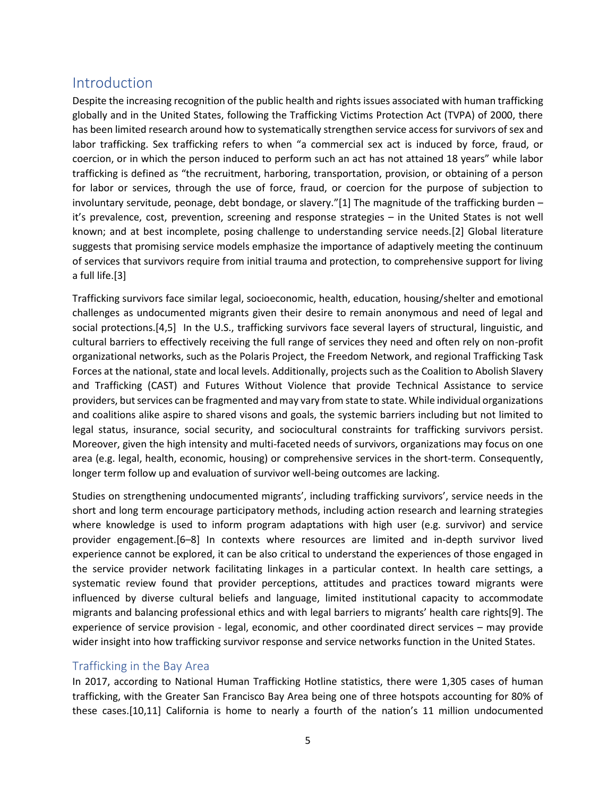# Introduction

Despite the increasing recognition of the public health and rights issues associated with human trafficking globally and in the United States, following the Trafficking Victims Protection Act (TVPA) of 2000, there has been limited research around how to systematically strengthen service access for survivors of sex and labor trafficking. Sex trafficking refers to when "a commercial sex act is induced by force, fraud, or coercion, or in which the person induced to perform such an act has not attained 18 years" while labor trafficking is defined as "the recruitment, harboring, transportation, provision, or obtaining of a person for labor or services, through the use of force, fraud, or coercion for the purpose of subjection to involuntary servitude, peonage, debt bondage, or slavery."[1] The magnitude of the trafficking burden – it's prevalence, cost, prevention, screening and response strategies – in the United States is not well known; and at best incomplete, posing challenge to understanding service needs.[2] Global literature suggests that promising service models emphasize the importance of adaptively meeting the continuum of services that survivors require from initial trauma and protection, to comprehensive support for living a full life.[3]

Trafficking survivors face similar legal, socioeconomic, health, education, housing/shelter and emotional challenges as undocumented migrants given their desire to remain anonymous and need of legal and social protections.[4,5] In the U.S., trafficking survivors face several layers of structural, linguistic, and cultural barriers to effectively receiving the full range of services they need and often rely on non-profit organizational networks, such as the Polaris Project, the Freedom Network, and regional Trafficking Task Forces at the national, state and local levels. Additionally, projects such as the Coalition to Abolish Slavery and Trafficking (CAST) and Futures Without Violence that provide Technical Assistance to service providers, but services can be fragmented and may vary from state to state. While individual organizations and coalitions alike aspire to shared visons and goals, the systemic barriers including but not limited to legal status, insurance, social security, and sociocultural constraints for trafficking survivors persist. Moreover, given the high intensity and multi-faceted needs of survivors, organizations may focus on one area (e.g. legal, health, economic, housing) or comprehensive services in the short-term. Consequently, longer term follow up and evaluation of survivor well-being outcomes are lacking.

Studies on strengthening undocumented migrants', including trafficking survivors', service needs in the short and long term encourage participatory methods, including action research and learning strategies where knowledge is used to inform program adaptations with high user (e.g. survivor) and service provider engagement.[6–8] In contexts where resources are limited and in-depth survivor lived experience cannot be explored, it can be also critical to understand the experiences of those engaged in the service provider network facilitating linkages in a particular context. In health care settings, a systematic review found that provider perceptions, attitudes and practices toward migrants were influenced by diverse cultural beliefs and language, limited institutional capacity to accommodate migrants and balancing professional ethics and with legal barriers to migrants' health care rights[9]. The experience of service provision - legal, economic, and other coordinated direct services – may provide wider insight into how trafficking survivor response and service networks function in the United States.

## Trafficking in the Bay Area

In 2017, according to National Human Trafficking Hotline statistics, there were 1,305 cases of human trafficking, with the Greater San Francisco Bay Area being one of three hotspots accounting for 80% of these cases.[10,11] California is home to nearly a fourth of the nation's 11 million undocumented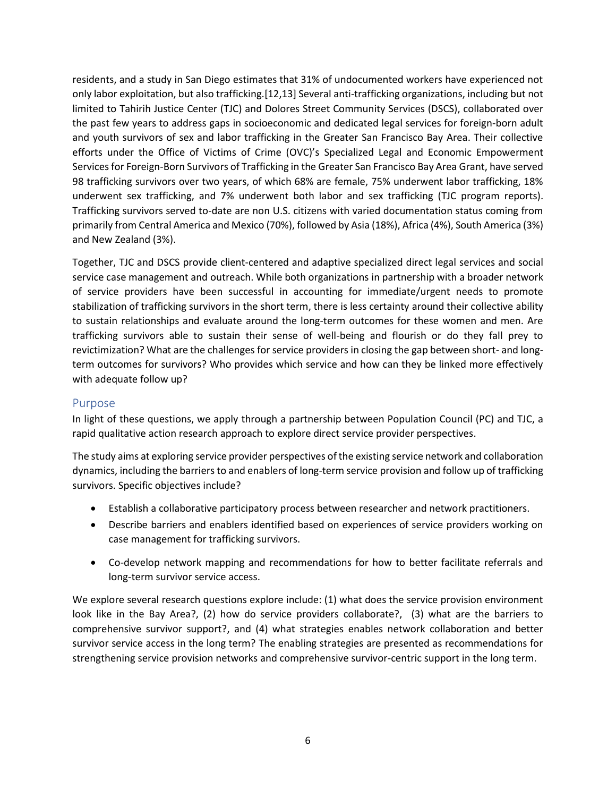residents, and a study in San Diego estimates that 31% of undocumented workers have experienced not only labor exploitation, but also trafficking.[12,13] Several anti-trafficking organizations, including but not limited to Tahirih Justice Center (TJC) and Dolores Street Community Services (DSCS), collaborated over the past few years to address gaps in socioeconomic and dedicated legal services for foreign-born adult and youth survivors of sex and labor trafficking in the Greater San Francisco Bay Area. Their collective efforts under the Office of Victims of Crime (OVC)'s Specialized Legal and Economic Empowerment Services for Foreign-Born Survivors of Trafficking in the Greater San Francisco Bay Area Grant, have served 98 trafficking survivors over two years, of which 68% are female, 75% underwent labor trafficking, 18% underwent sex trafficking, and 7% underwent both labor and sex trafficking (TJC program reports). Trafficking survivors served to-date are non U.S. citizens with varied documentation status coming from primarily from Central America and Mexico (70%), followed by Asia (18%), Africa (4%), South America (3%) and New Zealand (3%).

Together, TJC and DSCS provide client-centered and adaptive specialized direct legal services and social service case management and outreach. While both organizations in partnership with a broader network of service providers have been successful in accounting for immediate/urgent needs to promote stabilization of trafficking survivors in the short term, there is less certainty around their collective ability to sustain relationships and evaluate around the long-term outcomes for these women and men. Are trafficking survivors able to sustain their sense of well-being and flourish or do they fall prey to revictimization? What are the challenges for service providers in closing the gap between short- and longterm outcomes for survivors? Who provides which service and how can they be linked more effectively with adequate follow up?

## Purpose

In light of these questions, we apply through a partnership between Population Council (PC) and TJC, a rapid qualitative action research approach to explore direct service provider perspectives.

The study aims at exploring service provider perspectives of the existing service network and collaboration dynamics, including the barriers to and enablers of long-term service provision and follow up of trafficking survivors. Specific objectives include?

- Establish a collaborative participatory process between researcher and network practitioners.
- Describe barriers and enablers identified based on experiences of service providers working on case management for trafficking survivors.
- Co-develop network mapping and recommendations for how to better facilitate referrals and long-term survivor service access.

We explore several research questions explore include: (1) what does the service provision environment look like in the Bay Area?, (2) how do service providers collaborate?, (3) what are the barriers to comprehensive survivor support?, and (4) what strategies enables network collaboration and better survivor service access in the long term? The enabling strategies are presented as recommendations for strengthening service provision networks and comprehensive survivor-centric support in the long term.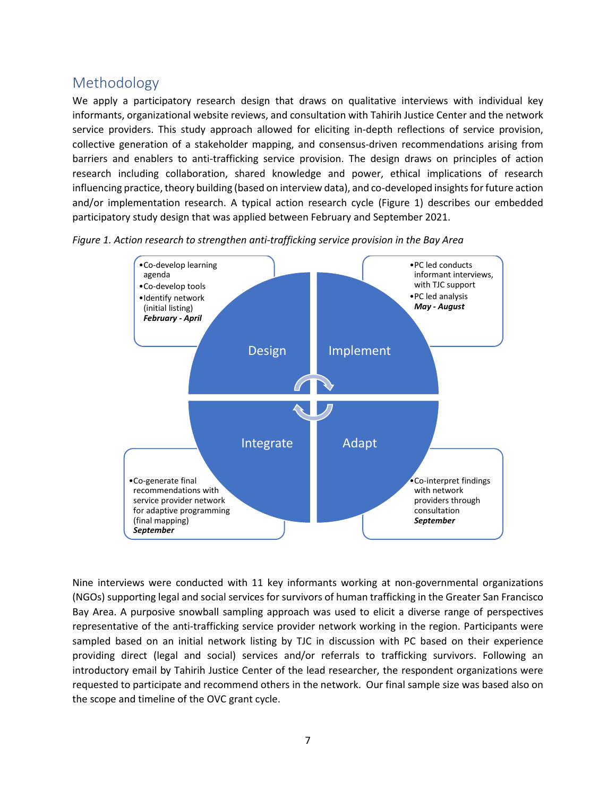# Methodology

We apply a participatory research design that draws on qualitative interviews with individual key informants, organizational website reviews, and consultation with Tahirih Justice Center and the network service providers. This study approach allowed for eliciting in-depth reflections of service provision, collective generation of a stakeholder mapping, and consensus-driven recommendations arising from barriers and enablers to anti-trafficking service provision. The design draws on principles of action research including collaboration, shared knowledge and power, ethical implications of research influencing practice, theory building (based on interview data), and co-developed insights for future action and/or implementation research. A typical action research cycle (Figure 1) describes our embedded participatory study design that was applied between February and September 2021.



*Figure 1. Action research to strengthen anti-trafficking service provision in the Bay Area*

Nine interviews were conducted with 11 key informants working at non-governmental organizations (NGOs) supporting legal and social services for survivors of human trafficking in the Greater San Francisco Bay Area. A purposive snowball sampling approach was used to elicit a diverse range of perspectives representative of the anti-trafficking service provider network working in the region. Participants were sampled based on an initial network listing by TJC in discussion with PC based on their experience providing direct (legal and social) services and/or referrals to trafficking survivors. Following an introductory email by Tahirih Justice Center of the lead researcher, the respondent organizations were requested to participate and recommend others in the network. Our final sample size was based also on the scope and timeline of the OVC grant cycle.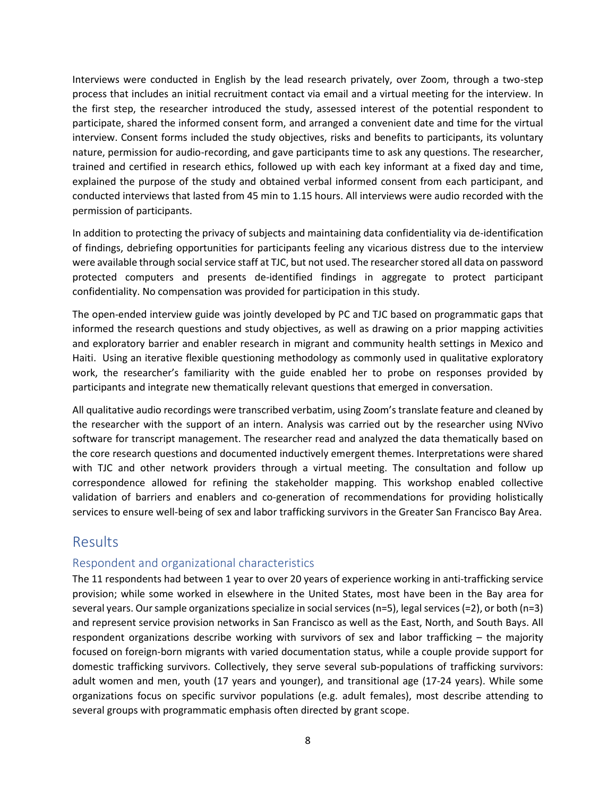Interviews were conducted in English by the lead research privately, over Zoom, through a two-step process that includes an initial recruitment contact via email and a virtual meeting for the interview. In the first step, the researcher introduced the study, assessed interest of the potential respondent to participate, shared the informed consent form, and arranged a convenient date and time for the virtual interview. Consent forms included the study objectives, risks and benefits to participants, its voluntary nature, permission for audio-recording, and gave participants time to ask any questions. The researcher, trained and certified in research ethics, followed up with each key informant at a fixed day and time, explained the purpose of the study and obtained verbal informed consent from each participant, and conducted interviews that lasted from 45 min to 1.15 hours. All interviews were audio recorded with the permission of participants.

In addition to protecting the privacy of subjects and maintaining data confidentiality via de-identification of findings, debriefing opportunities for participants feeling any vicarious distress due to the interview were available through social service staff at TJC, but not used. The researcher stored all data on password protected computers and presents de-identified findings in aggregate to protect participant confidentiality. No compensation was provided for participation in this study.

The open-ended interview guide was jointly developed by PC and TJC based on programmatic gaps that informed the research questions and study objectives, as well as drawing on a prior mapping activities and exploratory barrier and enabler research in migrant and community health settings in Mexico and Haiti. Using an iterative flexible questioning methodology as commonly used in qualitative exploratory work, the researcher's familiarity with the guide enabled her to probe on responses provided by participants and integrate new thematically relevant questions that emerged in conversation.

All qualitative audio recordings were transcribed verbatim, using Zoom's translate feature and cleaned by the researcher with the support of an intern. Analysis was carried out by the researcher using NVivo software for transcript management. The researcher read and analyzed the data thematically based on the core research questions and documented inductively emergent themes. Interpretations were shared with TJC and other network providers through a virtual meeting. The consultation and follow up correspondence allowed for refining the stakeholder mapping. This workshop enabled collective validation of barriers and enablers and co-generation of recommendations for providing holistically services to ensure well-being of sex and labor trafficking survivors in the Greater San Francisco Bay Area.

# Results

## Respondent and organizational characteristics

The 11 respondents had between 1 year to over 20 years of experience working in anti-trafficking service provision; while some worked in elsewhere in the United States, most have been in the Bay area for several years. Our sample organizations specialize in social services (n=5), legal services (=2), or both (n=3) and represent service provision networks in San Francisco as well as the East, North, and South Bays. All respondent organizations describe working with survivors of sex and labor trafficking – the majority focused on foreign-born migrants with varied documentation status, while a couple provide support for domestic trafficking survivors. Collectively, they serve several sub-populations of trafficking survivors: adult women and men, youth (17 years and younger), and transitional age (17-24 years). While some organizations focus on specific survivor populations (e.g. adult females), most describe attending to several groups with programmatic emphasis often directed by grant scope.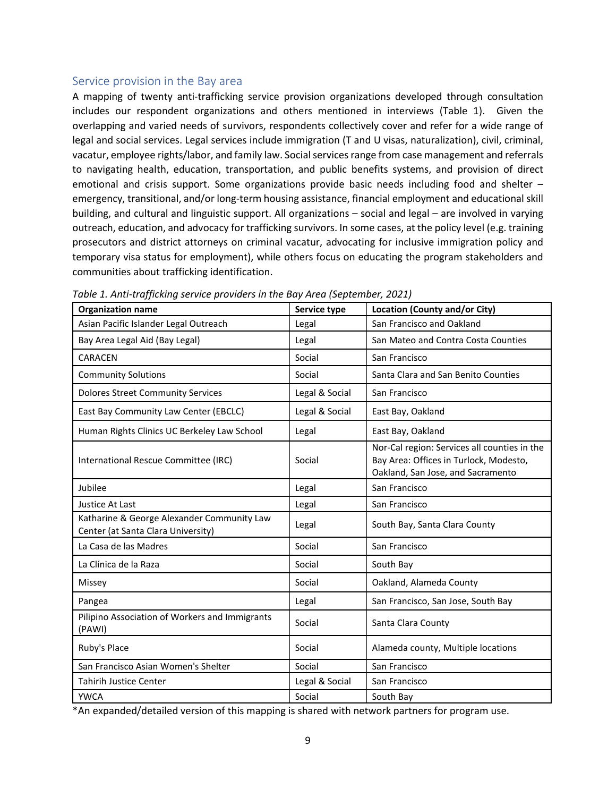#### Service provision in the Bay area

A mapping of twenty anti-trafficking service provision organizations developed through consultation includes our respondent organizations and others mentioned in interviews (Table 1). Given the overlapping and varied needs of survivors, respondents collectively cover and refer for a wide range of legal and social services. Legal services include immigration (T and U visas, naturalization), civil, criminal, vacatur, employee rights/labor, and family law. Social services range from case management and referrals to navigating health, education, transportation, and public benefits systems, and provision of direct emotional and crisis support. Some organizations provide basic needs including food and shelter – emergency, transitional, and/or long-term housing assistance, financial employment and educational skill building, and cultural and linguistic support. All organizations – social and legal – are involved in varying outreach, education, and advocacy for trafficking survivors. In some cases, at the policy level (e.g. training prosecutors and district attorneys on criminal vacatur, advocating for inclusive immigration policy and temporary visa status for employment), while others focus on educating the program stakeholders and communities about trafficking identification.

| <b>Organization name</b>                                                         | Service type   | <b>Location (County and/or City)</b>                                                                                        |
|----------------------------------------------------------------------------------|----------------|-----------------------------------------------------------------------------------------------------------------------------|
| Asian Pacific Islander Legal Outreach                                            | Legal          | San Francisco and Oakland                                                                                                   |
| Bay Area Legal Aid (Bay Legal)                                                   | Legal          | San Mateo and Contra Costa Counties                                                                                         |
| CARACEN                                                                          | Social         | San Francisco                                                                                                               |
| <b>Community Solutions</b>                                                       | Social         | Santa Clara and San Benito Counties                                                                                         |
| <b>Dolores Street Community Services</b>                                         | Legal & Social | San Francisco                                                                                                               |
| East Bay Community Law Center (EBCLC)                                            | Legal & Social | East Bay, Oakland                                                                                                           |
| Human Rights Clinics UC Berkeley Law School                                      | Legal          | East Bay, Oakland                                                                                                           |
| International Rescue Committee (IRC)                                             | Social         | Nor-Cal region: Services all counties in the<br>Bay Area: Offices in Turlock, Modesto,<br>Oakland, San Jose, and Sacramento |
| Jubilee                                                                          | Legal          | San Francisco                                                                                                               |
| <b>Justice At Last</b>                                                           | Legal          | San Francisco                                                                                                               |
| Katharine & George Alexander Community Law<br>Center (at Santa Clara University) | Legal          | South Bay, Santa Clara County                                                                                               |
| La Casa de las Madres                                                            | Social         | San Francisco                                                                                                               |
| La Clínica de la Raza                                                            | Social         | South Bay                                                                                                                   |
| Missey                                                                           | Social         | Oakland, Alameda County                                                                                                     |
| Pangea                                                                           | Legal          | San Francisco, San Jose, South Bay                                                                                          |
| Pilipino Association of Workers and Immigrants<br>(PAWI)                         | Social         | Santa Clara County                                                                                                          |
| Ruby's Place                                                                     | Social         | Alameda county, Multiple locations                                                                                          |
| San Francisco Asian Women's Shelter                                              | Social         | San Francisco                                                                                                               |
| <b>Tahirih Justice Center</b>                                                    | Legal & Social | San Francisco                                                                                                               |
| <b>YWCA</b>                                                                      | Social         | South Bay                                                                                                                   |

*Table 1. Anti-trafficking service providers in the Bay Area (September, 2021)*

\*An expanded/detailed version of this mapping is shared with network partners for program use.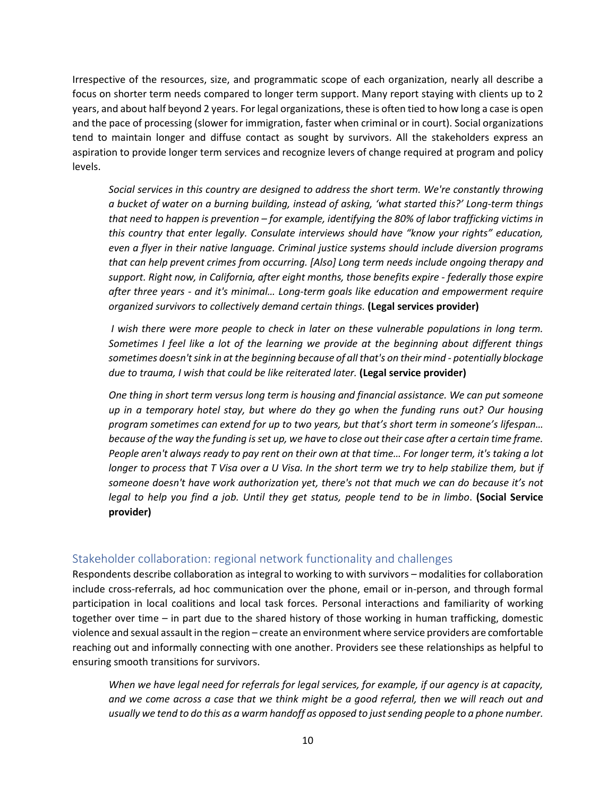Irrespective of the resources, size, and programmatic scope of each organization, nearly all describe a focus on shorter term needs compared to longer term support. Many report staying with clients up to 2 years, and about half beyond 2 years. For legal organizations, these is often tied to how long a case is open and the pace of processing (slower for immigration, faster when criminal or in court). Social organizations tend to maintain longer and diffuse contact as sought by survivors. All the stakeholders express an aspiration to provide longer term services and recognize levers of change required at program and policy levels.

*Social services in this country are designed to address the short term. We're constantly throwing a bucket of water on a burning building, instead of asking, 'what started this?' Long-term things that need to happen is prevention – for example, identifying the 80% of labor trafficking victims in this country that enter legally. Consulate interviews should have "know your rights" education, even a flyer in their native language. Criminal justice systems should include diversion programs that can help prevent crimes from occurring. [Also] Long term needs include ongoing therapy and support. Right now, in California, after eight months, those benefits expire - federally those expire after three years - and it's minimal… Long-term goals like education and empowerment require organized survivors to collectively demand certain things.* **(Legal services provider)**

*I wish there were more people to check in later on these vulnerable populations in long term. Sometimes I feel like a lot of the learning we provide at the beginning about different things sometimes doesn't sink in at the beginning because of all that's on their mind - potentially blockage due to trauma, I wish that could be like reiterated later.* **(Legal service provider)**

*One thing in short term versus long term is housing and financial assistance. We can put someone up in a temporary hotel stay, but where do they go when the funding runs out? Our housing program sometimes can extend for up to two years, but that's short term in someone's lifespan… because of the way the funding is set up, we have to close out their case after a certain time frame. People aren't always ready to pay rent on their own at that time… For longer term, it's taking a lot longer to process that T Visa over a U Visa. In the short term we try to help stabilize them, but if someone doesn't have work authorization yet, there's not that much we can do because it's not legal to help you find a job. Until they get status, people tend to be in limbo*. **(Social Service provider)**

## Stakeholder collaboration: regional network functionality and challenges

Respondents describe collaboration as integral to working to with survivors – modalities for collaboration include cross-referrals, ad hoc communication over the phone, email or in-person, and through formal participation in local coalitions and local task forces. Personal interactions and familiarity of working together over time – in part due to the shared history of those working in human trafficking, domestic violence and sexual assault in the region – create an environment where service providers are comfortable reaching out and informally connecting with one another. Providers see these relationships as helpful to ensuring smooth transitions for survivors.

*When we have legal need for referrals for legal services, for example, if our agency is at capacity,*  and we come across a case that we think might be a good referral, then we will reach out and *usually we tend to do this as a warm handoff as opposed to just sending people to a phone number.*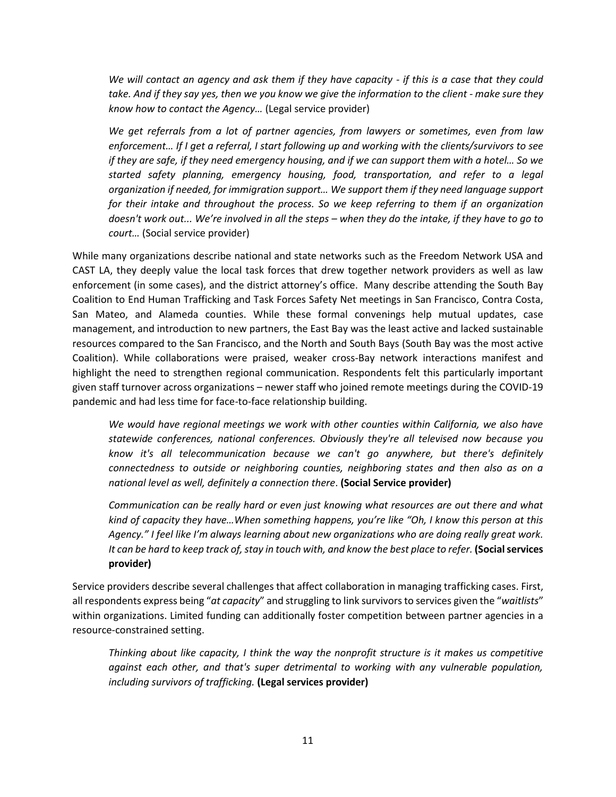*We will contact an agency and ask them if they have capacity - if this is a case that they could take. And if they say yes, then we you know we give the information to the client - make sure they know how to contact the Agency…* (Legal service provider)

*We get referrals from a lot of partner agencies, from lawyers or sometimes, even from law enforcement… If I get a referral, I start following up and working with the clients/survivors to see if they are safe, if they need emergency housing, and if we can support them with a hotel… So we started safety planning, emergency housing, food, transportation, and refer to a legal organization if needed, for immigration support… We support them if they need language support for their intake and throughout the process. So we keep referring to them if an organization doesn't work out... We're involved in all the steps – when they do the intake, if they have to go to court…* (Social service provider)

While many organizations describe national and state networks such as the Freedom Network USA and CAST LA, they deeply value the local task forces that drew together network providers as well as law enforcement (in some cases), and the district attorney's office. Many describe attending the South Bay Coalition to End Human Trafficking and Task Forces Safety Net meetings in San Francisco, Contra Costa, San Mateo, and Alameda counties. While these formal convenings help mutual updates, case management, and introduction to new partners, the East Bay was the least active and lacked sustainable resources compared to the San Francisco, and the North and South Bays (South Bay was the most active Coalition). While collaborations were praised, weaker cross-Bay network interactions manifest and highlight the need to strengthen regional communication. Respondents felt this particularly important given staff turnover across organizations – newer staff who joined remote meetings during the COVID-19 pandemic and had less time for face-to-face relationship building.

*We would have regional meetings we work with other counties within California, we also have statewide conferences, national conferences. Obviously they're all televised now because you know it's all telecommunication because we can't go anywhere, but there's definitely connectedness to outside or neighboring counties, neighboring states and then also as on a national level as well, definitely a connection there*. **(Social Service provider)**

*Communication can be really hard or even just knowing what resources are out there and what kind of capacity they have…When something happens, you're like "Oh, I know this person at this Agency." I feel like I'm always learning about new organizations who are doing really great work. It can be hard to keep track of, stay in touch with, and know the best place to refer.* **(Social services provider)**

Service providers describe several challenges that affect collaboration in managing trafficking cases. First, all respondents express being "*at capacity*" and struggling to link survivorsto services given the "*waitlists*" within organizations. Limited funding can additionally foster competition between partner agencies in a resource-constrained setting.

*Thinking about like capacity, I think the way the nonprofit structure is it makes us competitive against each other, and that's super detrimental to working with any vulnerable population, including survivors of trafficking.* **(Legal services provider)**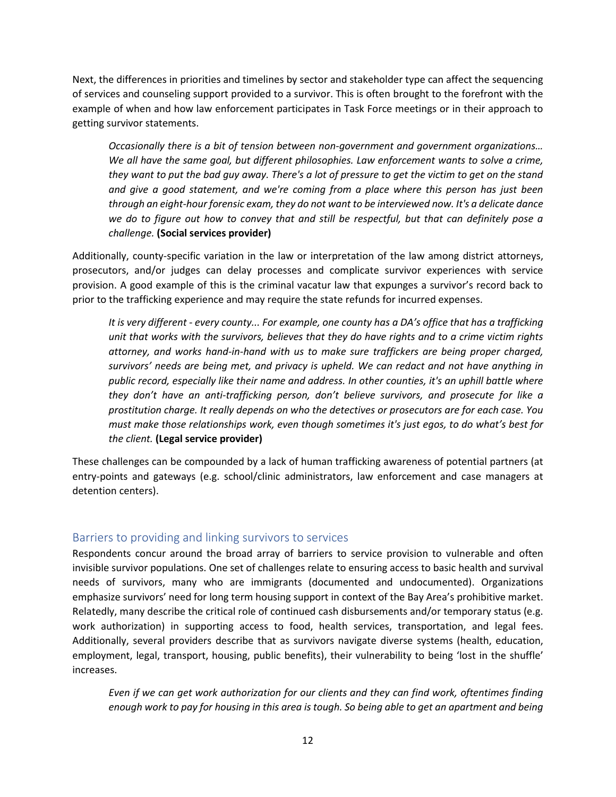Next, the differences in priorities and timelines by sector and stakeholder type can affect the sequencing of services and counseling support provided to a survivor. This is often brought to the forefront with the example of when and how law enforcement participates in Task Force meetings or in their approach to getting survivor statements.

*Occasionally there is a bit of tension between non-government and government organizations… We all have the same goal, but different philosophies. Law enforcement wants to solve a crime, they want to put the bad guy away. There's a lot of pressure to get the victim to get on the stand and give a good statement, and we're coming from a place where this person has just been through an eight-hour forensic exam, they do not want to be interviewed now. It's a delicate dance we do to figure out how to convey that and still be respectful, but that can definitely pose a challenge.* **(Social services provider)**

Additionally, county-specific variation in the law or interpretation of the law among district attorneys, prosecutors, and/or judges can delay processes and complicate survivor experiences with service provision. A good example of this is the criminal vacatur law that expunges a survivor's record back to prior to the trafficking experience and may require the state refunds for incurred expenses.

*It is very different - every county... For example, one county has a DA's office that has a trafficking unit that works with the survivors, believes that they do have rights and to a crime victim rights attorney, and works hand-in-hand with us to make sure traffickers are being proper charged, survivors' needs are being met, and privacy is upheld. We can redact and not have anything in public record, especially like their name and address. In other counties, it's an uphill battle where they don't have an anti-trafficking person, don't believe survivors, and prosecute for like a prostitution charge. It really depends on who the detectives or prosecutors are for each case. You must make those relationships work, even though sometimes it's just egos, to do what's best for the client.* **(Legal service provider)**

These challenges can be compounded by a lack of human trafficking awareness of potential partners (at entry-points and gateways (e.g. school/clinic administrators, law enforcement and case managers at detention centers).

## Barriers to providing and linking survivors to services

Respondents concur around the broad array of barriers to service provision to vulnerable and often invisible survivor populations. One set of challenges relate to ensuring access to basic health and survival needs of survivors, many who are immigrants (documented and undocumented). Organizations emphasize survivors' need for long term housing support in context of the Bay Area's prohibitive market. Relatedly, many describe the critical role of continued cash disbursements and/or temporary status (e.g. work authorization) in supporting access to food, health services, transportation, and legal fees. Additionally, several providers describe that as survivors navigate diverse systems (health, education, employment, legal, transport, housing, public benefits), their vulnerability to being 'lost in the shuffle' increases.

*Even if we can get work authorization for our clients and they can find work, oftentimes finding enough work to pay for housing in this area is tough. So being able to get an apartment and being*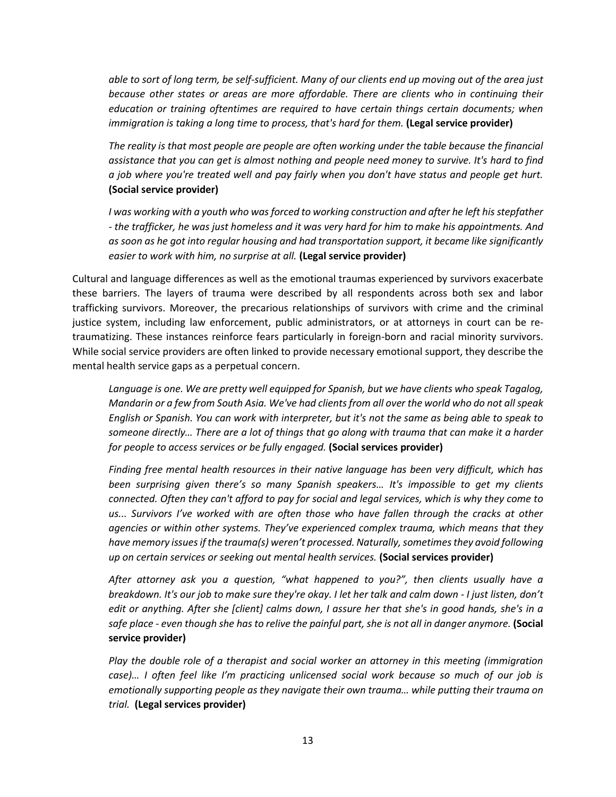*able to sort of long term, be self-sufficient. Many of our clients end up moving out of the area just because other states or areas are more affordable. There are clients who in continuing their education or training oftentimes are required to have certain things certain documents; when immigration is taking a long time to process, that's hard for them.* **(Legal service provider)**

*The reality is that most people are people are often working under the table because the financial assistance that you can get is almost nothing and people need money to survive. It's hard to find a job where you're treated well and pay fairly when you don't have status and people get hurt.* **(Social service provider)**

*I was working with a youth who was forced to working construction and after he left his stepfather - the trafficker, he was just homeless and it was very hard for him to make his appointments. And as soon as he got into regular housing and had transportation support, it became like significantly easier to work with him, no surprise at all.* **(Legal service provider)**

Cultural and language differences as well as the emotional traumas experienced by survivors exacerbate these barriers. The layers of trauma were described by all respondents across both sex and labor trafficking survivors. Moreover, the precarious relationships of survivors with crime and the criminal justice system, including law enforcement, public administrators, or at attorneys in court can be retraumatizing. These instances reinforce fears particularly in foreign-born and racial minority survivors. While social service providers are often linked to provide necessary emotional support, they describe the mental health service gaps as a perpetual concern.

*Language is one. We are pretty well equipped for Spanish, but we have clients who speak Tagalog, Mandarin or a few from South Asia. We've had clients from all over the world who do not allspeak English or Spanish. You can work with interpreter, but it's not the same as being able to speak to someone directly… There are a lot of things that go along with trauma that can make it a harder for people to access services or be fully engaged.* **(Social services provider)**

*Finding free mental health resources in their native language has been very difficult, which has been surprising given there's so many Spanish speakers… It's impossible to get my clients connected. Often they can't afford to pay for social and legal services, which is why they come to us... Survivors I've worked with are often those who have fallen through the cracks at other agencies or within other systems. They've experienced complex trauma, which means that they have memory issuesif the trauma(s) weren't processed. Naturally, sometimes they avoid following up on certain services or seeking out mental health services.* **(Social services provider)**

*After attorney ask you a question, "what happened to you?", then clients usually have a breakdown. It's our job to make sure they're okay. I let her talk and calm down - I just listen, don't edit or anything. After she [client] calms down, I assure her that she's in good hands, she's in a safe place - even though she has to relive the painful part, she is not all in danger anymore.* **(Social service provider)**

*Play the double role of a therapist and social worker an attorney in this meeting (immigration case)… I often feel like I'm practicing unlicensed social work because so much of our job is emotionally supporting people as they navigate their own trauma… while putting their trauma on trial.* **(Legal services provider)**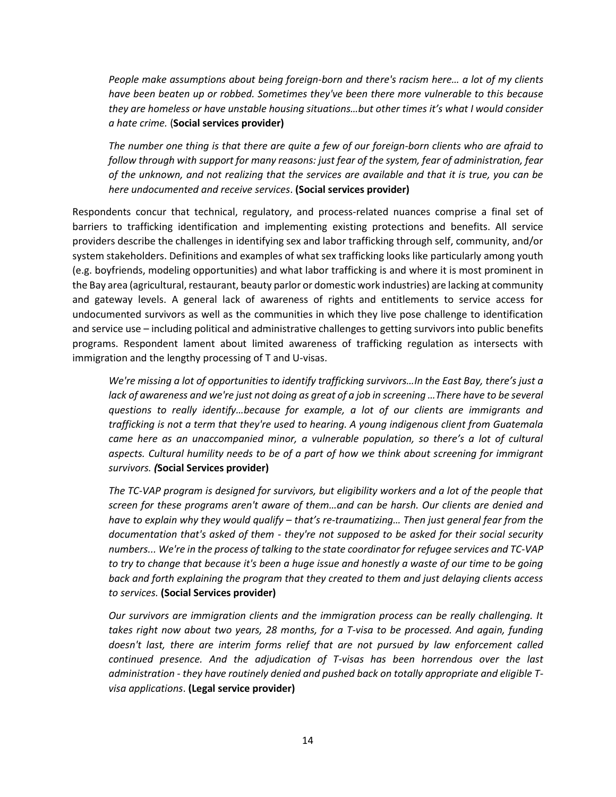*People make assumptions about being foreign-born and there's racism here… a lot of my clients have been beaten up or robbed. Sometimes they've been there more vulnerable to this because they are homeless or have unstable housing situations…but other times it's what I would consider a hate crime.* (**Social services provider)**

*The number one thing is that there are quite a few of our foreign-born clients who are afraid to follow through with support for many reasons: just fear of the system, fear of administration, fear of the unknown, and not realizing that the services are available and that it is true, you can be here undocumented and receive services*. **(Social services provider)**

Respondents concur that technical, regulatory, and process-related nuances comprise a final set of barriers to trafficking identification and implementing existing protections and benefits. All service providers describe the challenges in identifying sex and labor trafficking through self, community, and/or system stakeholders. Definitions and examples of what sex trafficking looks like particularly among youth (e.g. boyfriends, modeling opportunities) and what labor trafficking is and where it is most prominent in the Bay area (agricultural, restaurant, beauty parlor or domestic work industries) are lacking at community and gateway levels. A general lack of awareness of rights and entitlements to service access for undocumented survivors as well as the communities in which they live pose challenge to identification and service use – including political and administrative challenges to getting survivors into public benefits programs. Respondent lament about limited awareness of trafficking regulation as intersects with immigration and the lengthy processing of T and U-visas.

*We're missing a lot of opportunities to identify trafficking survivors…In the East Bay, there's just a*  lack of awareness and we're just not doing as great of a job in screening ...There have to be several *questions to really identify…because for example, a lot of our clients are immigrants and trafficking is not a term that they're used to hearing. A young indigenous client from Guatemala*  came here as an unaccompanied minor, a vulnerable population, so there's a lot of cultural *aspects. Cultural humility needs to be of a part of how we think about screening for immigrant survivors. (***Social Services provider)**

*The TC-VAP program is designed for survivors, but eligibility workers and a lot of the people that screen for these programs aren't aware of them…and can be harsh. Our clients are denied and have to explain why they would qualify – that's re-traumatizing… Then just general fear from the documentation that's asked of them - they're not supposed to be asked for their social security numbers... We're in the process of talking to the state coordinator for refugee services and TC-VAP to try to change that because it's been a huge issue and honestly a waste of our time to be going back and forth explaining the program that they created to them and just delaying clients access to services.* **(Social Services provider)**

*Our survivors are immigration clients and the immigration process can be really challenging. It*  takes right now about two years, 28 months, for a T-visa to be processed. And again, funding *doesn't last, there are interim forms relief that are not pursued by law enforcement called continued presence. And the adjudication of T-visas has been horrendous over the last administration - they have routinely denied and pushed back on totally appropriate and eligible Tvisa applications*. **(Legal service provider)**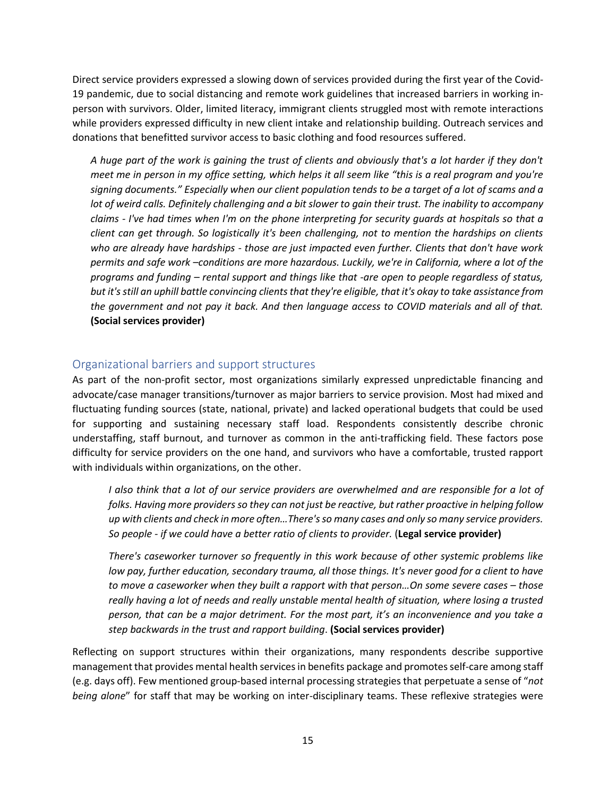Direct service providers expressed a slowing down of services provided during the first year of the Covid-19 pandemic, due to social distancing and remote work guidelines that increased barriers in working inperson with survivors. Older, limited literacy, immigrant clients struggled most with remote interactions while providers expressed difficulty in new client intake and relationship building. Outreach services and donations that benefitted survivor access to basic clothing and food resources suffered.

*A huge part of the work is gaining the trust of clients and obviously that's a lot harder if they don't meet me in person in my office setting, which helps it all seem like "this is a real program and you're signing documents." Especially when our client population tends to be a target of a lot of scams and a lot of weird calls. Definitely challenging and a bit slower to gain their trust. The inability to accompany claims - I've had times when I'm on the phone interpreting for security guards at hospitals so that a client can get through. So logistically it's been challenging, not to mention the hardships on clients who are already have hardships - those are just impacted even further. Clients that don't have work permits and safe work –conditions are more hazardous. Luckily, we're in California, where a lot of the programs and funding – rental support and things like that -are open to people regardless of status, but it's still an uphill battle convincing clients that they're eligible, that it's okay to take assistance from the government and not pay it back. And then language access to COVID materials and all of that.*  **(Social services provider)** 

## Organizational barriers and support structures

As part of the non-profit sector, most organizations similarly expressed unpredictable financing and advocate/case manager transitions/turnover as major barriers to service provision. Most had mixed and fluctuating funding sources (state, national, private) and lacked operational budgets that could be used for supporting and sustaining necessary staff load. Respondents consistently describe chronic understaffing, staff burnout, and turnover as common in the anti-trafficking field. These factors pose difficulty for service providers on the one hand, and survivors who have a comfortable, trusted rapport with individuals within organizations, on the other.

*I also think that a lot of our service providers are overwhelmed and are responsible for a lot of folks. Having more providers so they can not just be reactive, but rather proactive in helping follow up with clients and check in more often…There's so many cases and only so many service providers. So people - if we could have a better ratio of clients to provider.* (**Legal service provider)**

*There's caseworker turnover so frequently in this work because of other systemic problems like low pay, further education, secondary trauma, all those things. It's never good for a client to have to move a caseworker when they built a rapport with that person…On some severe cases – those really having a lot of needs and really unstable mental health of situation, where losing a trusted person, that can be a major detriment. For the most part, it's an inconvenience and you take a step backwards in the trust and rapport building*. **(Social services provider)**

Reflecting on support structures within their organizations, many respondents describe supportive management that provides mental health services in benefits package and promotesself-care among staff (e.g. days off). Few mentioned group-based internal processing strategies that perpetuate a sense of "*not being alone*" for staff that may be working on inter-disciplinary teams. These reflexive strategies were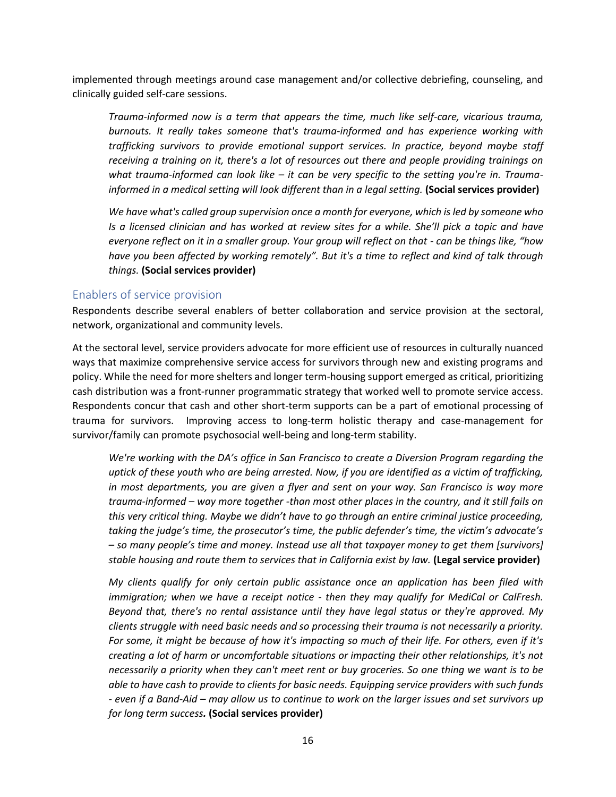implemented through meetings around case management and/or collective debriefing, counseling, and clinically guided self-care sessions.

*Trauma-informed now is a term that appears the time, much like self-care, vicarious trauma, burnouts. It really takes someone that's trauma-informed and has experience working with trafficking survivors to provide emotional support services. In practice, beyond maybe staff receiving a training on it, there's a lot of resources out there and people providing trainings on what trauma-informed can look like – it can be very specific to the setting you're in. Traumainformed in a medical setting will look different than in a legal setting.* (Social services provider)

*We have what's called group supervision once a month for everyone, which is led by someone who Is a licensed clinician and has worked at review sites for a while. She'll pick a topic and have everyone reflect on it in a smaller group. Your group will reflect on that - can be things like, "how have you been affected by working remotely". But it's a time to reflect and kind of talk through things.* **(Social services provider)**

## Enablers of service provision

Respondents describe several enablers of better collaboration and service provision at the sectoral, network, organizational and community levels.

At the sectoral level, service providers advocate for more efficient use of resources in culturally nuanced ways that maximize comprehensive service access for survivors through new and existing programs and policy. While the need for more shelters and longer term-housing support emerged as critical, prioritizing cash distribution was a front-runner programmatic strategy that worked well to promote service access. Respondents concur that cash and other short-term supports can be a part of emotional processing of trauma for survivors. Improving access to long-term holistic therapy and case-management for survivor/family can promote psychosocial well-being and long-term stability.

*We're working with the DA's office in San Francisco to create a Diversion Program regarding the uptick of these youth who are being arrested. Now, if you are identified as a victim of trafficking, in most departments, you are given a flyer and sent on your way. San Francisco is way more trauma-informed – way more together -than most other places in the country, and it still fails on this very critical thing. Maybe we didn't have to go through an entire criminal justice proceeding, taking the judge's time, the prosecutor's time, the public defender's time, the victim's advocate's – so many people's time and money. Instead use all that taxpayer money to get them [survivors] stable housing and route them to services that in California exist by law.* **(Legal service provider)**

*My clients qualify for only certain public assistance once an application has been filed with immigration; when we have a receipt notice - then they may qualify for MediCal or CalFresh. Beyond that, there's no rental assistance until they have legal status or they're approved. My clients struggle with need basic needs and so processing their trauma is not necessarily a priority. For some, it might be because of how it's impacting so much of their life. For others, even if it's creating a lot of harm or uncomfortable situations or impacting their other relationships, it's not necessarily a priority when they can't meet rent or buy groceries. So one thing we want is to be able to have cash to provide to clients for basic needs. Equipping service providers with such funds - even if a Band-Aid – may allow us to continue to work on the larger issues and set survivors up for long term success.* **(Social services provider)**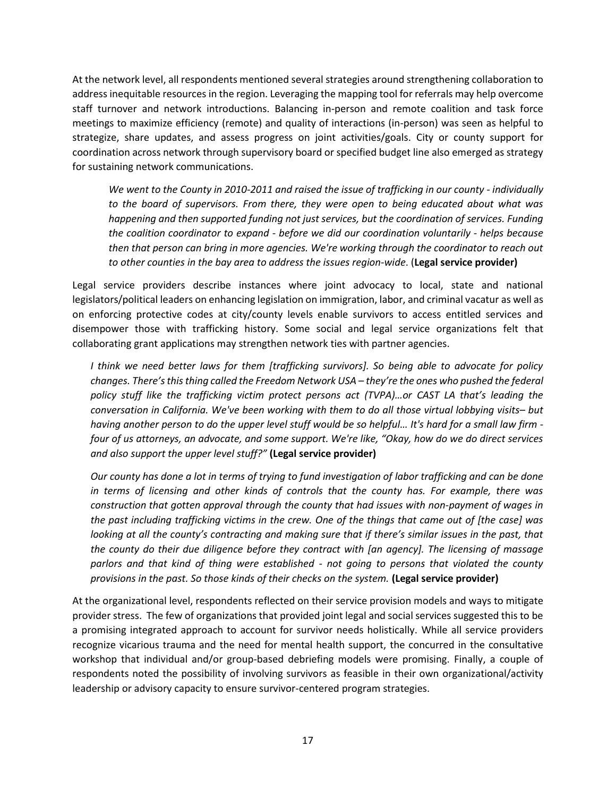At the network level, all respondents mentioned several strategies around strengthening collaboration to address inequitable resources in the region. Leveraging the mapping tool for referrals may help overcome staff turnover and network introductions. Balancing in-person and remote coalition and task force meetings to maximize efficiency (remote) and quality of interactions (in-person) was seen as helpful to strategize, share updates, and assess progress on joint activities/goals. City or county support for coordination across network through supervisory board or specified budget line also emerged as strategy for sustaining network communications.

*We went to the County in 2010-2011 and raised the issue of trafficking in our county - individually to the board of supervisors. From there, they were open to being educated about what was happening and then supported funding not just services, but the coordination of services. Funding the coalition coordinator to expand - before we did our coordination voluntarily - helps because then that person can bring in more agencies. We're working through the coordinator to reach out to other counties in the bay area to address the issues region-wide*. (**Legal service provider)**

Legal service providers describe instances where joint advocacy to local, state and national legislators/political leaders on enhancing legislation on immigration, labor, and criminal vacatur as well as on enforcing protective codes at city/county levels enable survivors to access entitled services and disempower those with trafficking history. Some social and legal service organizations felt that collaborating grant applications may strengthen network ties with partner agencies.

*I think we need better laws for them [trafficking survivors]. So being able to advocate for policy changes. There's this thing called the Freedom Network USA – they're the ones who pushed the federal policy stuff like the trafficking victim protect persons act (TVPA)…or CAST LA that's leading the conversation in California. We've been working with them to do all those virtual lobbying visits– but having another person to do the upper level stuff would be so helpful… It's hard for a small law firm four of us attorneys, an advocate, and some support. We're like, "Okay, how do we do direct services and also support the upper level stuff?"* **(Legal service provider)**

*Our county has done a lot in terms of trying to fund investigation of labor trafficking and can be done in terms of licensing and other kinds of controls that the county has. For example, there was construction that gotten approval through the county that had issues with non-payment of wages in the past including trafficking victims in the crew. One of the things that came out of [the case] was*  looking at all the county's contracting and making sure that if there's similar issues in the past, that *the county do their due diligence before they contract with [an agency]. The licensing of massage parlors and that kind of thing were established - not going to persons that violated the county provisions in the past. So those kinds of their checks on the system.* **(Legal service provider)**

At the organizational level, respondents reflected on their service provision models and ways to mitigate provider stress. The few of organizations that provided joint legal and social services suggested this to be a promising integrated approach to account for survivor needs holistically. While all service providers recognize vicarious trauma and the need for mental health support, the concurred in the consultative workshop that individual and/or group-based debriefing models were promising. Finally, a couple of respondents noted the possibility of involving survivors as feasible in their own organizational/activity leadership or advisory capacity to ensure survivor-centered program strategies.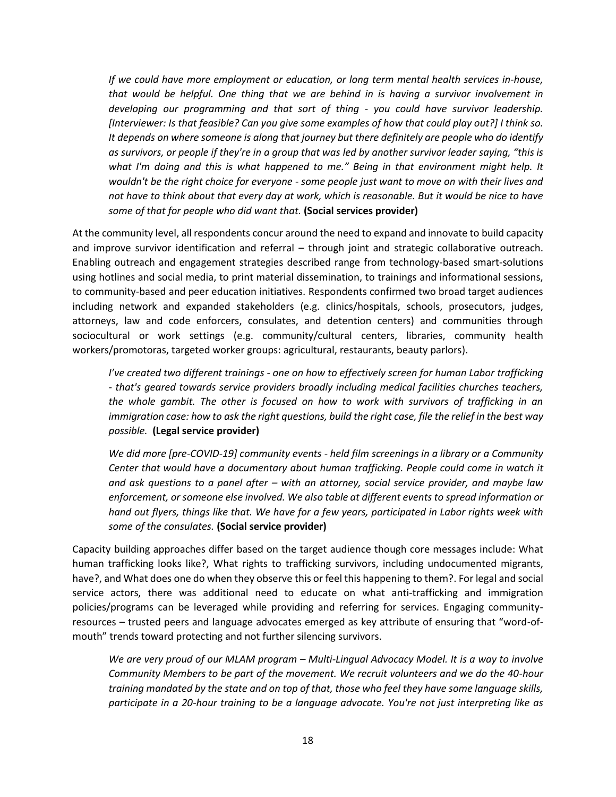*If we could have more employment or education, or long term mental health services in-house, that would be helpful. One thing that we are behind in is having a survivor involvement in developing our programming and that sort of thing - you could have survivor leadership. [Interviewer: Is that feasible? Can you give some examples of how that could play out?] I think so. It depends on where someone is along that journey but there definitely are people who do identify as survivors, or people if they're in a group that was led by another survivor leader saying, "this is what I'm doing and this is what happened to me." Being in that environment might help. It wouldn't be the right choice for everyone - some people just want to move on with their lives and not have to think about that every day at work, which is reasonable. But it would be nice to have some of that for people who did want that.* **(Social services provider)**

At the community level, all respondents concur around the need to expand and innovate to build capacity and improve survivor identification and referral – through joint and strategic collaborative outreach. Enabling outreach and engagement strategies described range from technology-based smart-solutions using hotlines and social media, to print material dissemination, to trainings and informational sessions, to community-based and peer education initiatives. Respondents confirmed two broad target audiences including network and expanded stakeholders (e.g. clinics/hospitals, schools, prosecutors, judges, attorneys, law and code enforcers, consulates, and detention centers) and communities through sociocultural or work settings (e.g. community/cultural centers, libraries, community health workers/promotoras, targeted worker groups: agricultural, restaurants, beauty parlors).

*I've created two different trainings - one on how to effectively screen for human Labor trafficking - that's geared towards service providers broadly including medical facilities churches teachers, the whole gambit. The other is focused on how to work with survivors of trafficking in an immigration case: how to ask the right questions, build the right case, file the relief in the best way possible.* **(Legal service provider)**

*We did more [pre-COVID-19] community events - held film screenings in a library or a Community Center that would have a documentary about human trafficking. People could come in watch it and ask questions to a panel after – with an attorney, social service provider, and maybe law enforcement, or someone else involved. We also table at different events to spread information or hand out flyers, things like that. We have for a few years, participated in Labor rights week with some of the consulates.* **(Social service provider)**

Capacity building approaches differ based on the target audience though core messages include: What human trafficking looks like?, What rights to trafficking survivors, including undocumented migrants, have?, and What does one do when they observe this or feel this happening to them?. For legal and social service actors, there was additional need to educate on what anti-trafficking and immigration policies/programs can be leveraged while providing and referring for services. Engaging communityresources – trusted peers and language advocates emerged as key attribute of ensuring that "word-ofmouth" trends toward protecting and not further silencing survivors.

*We are very proud of our MLAM program – Multi-Lingual Advocacy Model. It is a way to involve Community Members to be part of the movement. We recruit volunteers and we do the 40-hour training mandated by the state and on top of that, those who feel they have some language skills, participate in a 20-hour training to be a language advocate. You're not just interpreting like as*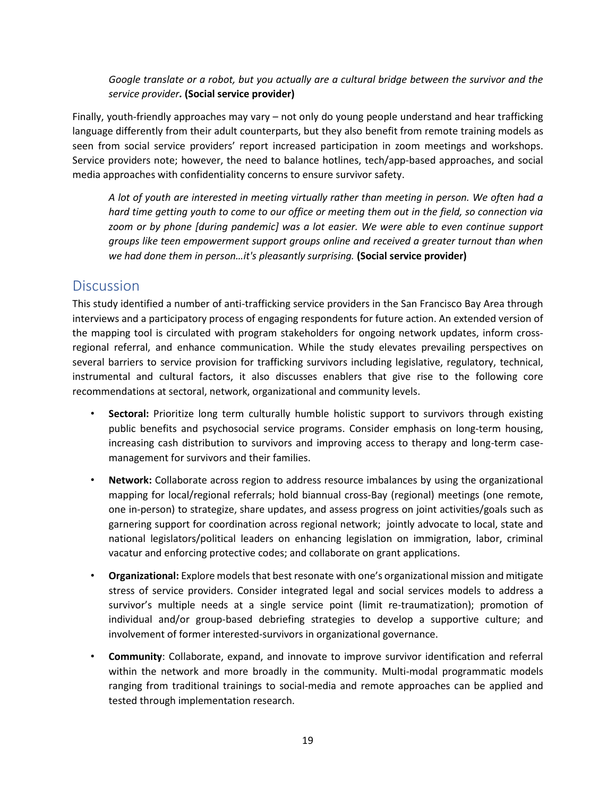*Google translate or a robot, but you actually are a cultural bridge between the survivor and the service provider.* **(Social service provider)**

Finally, youth-friendly approaches may vary – not only do young people understand and hear trafficking language differently from their adult counterparts, but they also benefit from remote training models as seen from social service providers' report increased participation in zoom meetings and workshops. Service providers note; however, the need to balance hotlines, tech/app-based approaches, and social media approaches with confidentiality concerns to ensure survivor safety.

*A lot of youth are interested in meeting virtually rather than meeting in person. We often had a hard time getting youth to come to our office or meeting them out in the field, so connection via zoom or by phone [during pandemic] was a lot easier. We were able to even continue support groups like teen empowerment support groups online and received a greater turnout than when we had done them in person…it's pleasantly surprising.* **(Social service provider)**

# **Discussion**

This study identified a number of anti-trafficking service providers in the San Francisco Bay Area through interviews and a participatory process of engaging respondents for future action. An extended version of the mapping tool is circulated with program stakeholders for ongoing network updates, inform crossregional referral, and enhance communication. While the study elevates prevailing perspectives on several barriers to service provision for trafficking survivors including legislative, regulatory, technical, instrumental and cultural factors, it also discusses enablers that give rise to the following core recommendations at sectoral, network, organizational and community levels.

- **Sectoral:** Prioritize long term culturally humble holistic support to survivors through existing public benefits and psychosocial service programs. Consider emphasis on long-term housing, increasing cash distribution to survivors and improving access to therapy and long-term casemanagement for survivors and their families.
- **Network:** Collaborate across region to address resource imbalances by using the organizational mapping for local/regional referrals; hold biannual cross-Bay (regional) meetings (one remote, one in-person) to strategize, share updates, and assess progress on joint activities/goals such as garnering support for coordination across regional network; jointly advocate to local, state and national legislators/political leaders on enhancing legislation on immigration, labor, criminal vacatur and enforcing protective codes; and collaborate on grant applications.
- **Organizational:** Explore models that best resonate with one's organizational mission and mitigate stress of service providers. Consider integrated legal and social services models to address a survivor's multiple needs at a single service point (limit re-traumatization); promotion of individual and/or group-based debriefing strategies to develop a supportive culture; and involvement of former interested-survivors in organizational governance.
- **Community**: Collaborate, expand, and innovate to improve survivor identification and referral within the network and more broadly in the community. Multi-modal programmatic models ranging from traditional trainings to social-media and remote approaches can be applied and tested through implementation research.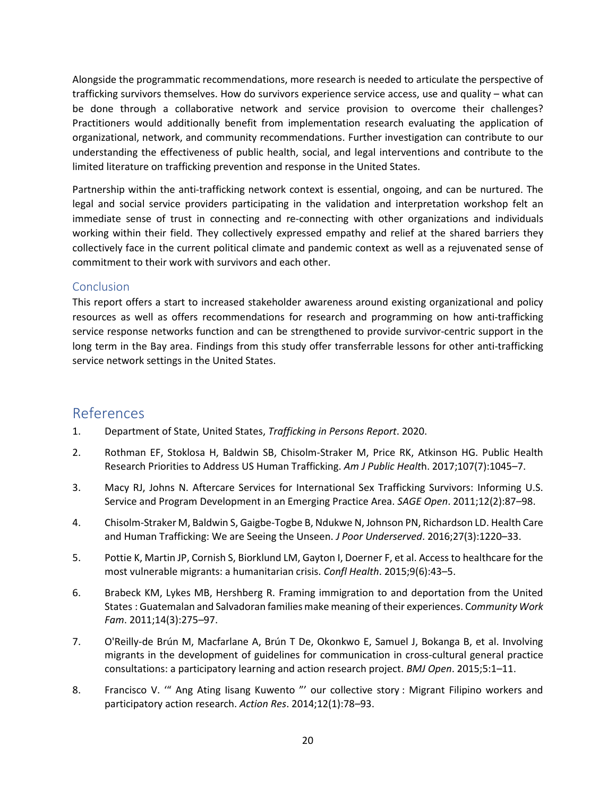Alongside the programmatic recommendations, more research is needed to articulate the perspective of trafficking survivors themselves. How do survivors experience service access, use and quality – what can be done through a collaborative network and service provision to overcome their challenges? Practitioners would additionally benefit from implementation research evaluating the application of organizational, network, and community recommendations. Further investigation can contribute to our understanding the effectiveness of public health, social, and legal interventions and contribute to the limited literature on trafficking prevention and response in the United States.

Partnership within the anti-trafficking network context is essential, ongoing, and can be nurtured. The legal and social service providers participating in the validation and interpretation workshop felt an immediate sense of trust in connecting and re-connecting with other organizations and individuals working within their field. They collectively expressed empathy and relief at the shared barriers they collectively face in the current political climate and pandemic context as well as a rejuvenated sense of commitment to their work with survivors and each other.

## Conclusion

This report offers a start to increased stakeholder awareness around existing organizational and policy resources as well as offers recommendations for research and programming on how anti-trafficking service response networks function and can be strengthened to provide survivor-centric support in the long term in the Bay area. Findings from this study offer transferrable lessons for other anti-trafficking service network settings in the United States.

# References

- 1. Department of State, United States, *Trafficking in Persons Report*. 2020.
- 2. Rothman EF, Stoklosa H, Baldwin SB, Chisolm-Straker M, Price RK, Atkinson HG. Public Health Research Priorities to Address US Human Trafficking. *Am J Public Healt*h. 2017;107(7):1045–7.
- 3. Macy RJ, Johns N. Aftercare Services for International Sex Trafficking Survivors: Informing U.S. Service and Program Development in an Emerging Practice Area. *SAGE Open*. 2011;12(2):87–98.
- 4. Chisolm-Straker M, Baldwin S, Gaigbe-Togbe B, Ndukwe N, Johnson PN, Richardson LD. Health Care and Human Trafficking: We are Seeing the Unseen. *J Poor Underserved*. 2016;27(3):1220–33.
- 5. Pottie K, Martin JP, Cornish S, Biorklund LM, Gayton I, Doerner F, et al. Access to healthcare for the most vulnerable migrants: a humanitarian crisis. *Confl Health*. 2015;9(6):43–5.
- 6. Brabeck KM, Lykes MB, Hershberg R. Framing immigration to and deportation from the United States : Guatemalan and Salvadoran families make meaning of their experiences. C*ommunity Work Fam*. 2011;14(3):275–97.
- 7. O'Reilly-de Brún M, Macfarlane A, Brún T De, Okonkwo E, Samuel J, Bokanga B, et al. Involving migrants in the development of guidelines for communication in cross-cultural general practice consultations: a participatory learning and action research project. *BMJ Open*. 2015;5:1–11.
- 8. Francisco V. '" Ang Ating Iisang Kuwento "' our collective story : Migrant Filipino workers and participatory action research. *Action Res*. 2014;12(1):78–93.